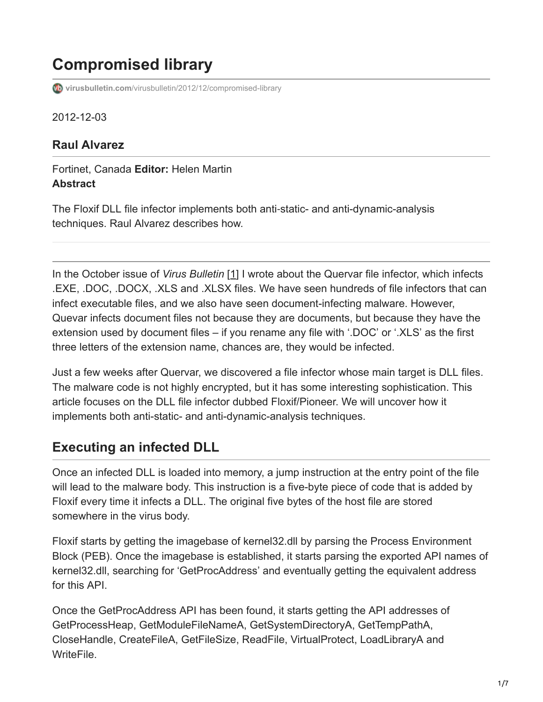# **Compromised library**

**virusbulletin.com**[/virusbulletin/2012/12/compromised-library](https://www.virusbulletin.com/virusbulletin/2012/12/compromised-library)

2012-12-03

### **Raul Alvarez**

#### Fortinet, Canada **Editor:** Helen Martin **Abstract**

The Floxif DLL file infector implements both anti‑static- and anti-dynamic-analysis techniques. Raul Alvarez describes how.

In the October issue of *Virus Bulletin* [1] I wrote about the Quervar file infector, which infects .EXE, .DOC, .DOCX, .XLS and .XLSX files. We have seen hundreds of file infectors that can infect executable files, and we also have seen document-infecting malware. However, Quevar infects document files not because they are documents, but because they have the extension used by document files – if you rename any file with '.DOC' or '.XLS' as the first three letters of the extension name, chances are, they would be infected.

Just a few weeks after Quervar, we discovered a file infector whose main target is DLL files. The malware code is not highly encrypted, but it has some interesting sophistication. This article focuses on the DLL file infector dubbed Floxif/Pioneer. We will uncover how it implements both anti-static- and anti-dynamic-analysis techniques.

# **Executing an infected DLL**

Once an infected DLL is loaded into memory, a jump instruction at the entry point of the file will lead to the malware body. This instruction is a five-byte piece of code that is added by Floxif every time it infects a DLL. The original five bytes of the host file are stored somewhere in the virus body.

Floxif starts by getting the imagebase of kernel32.dll by parsing the Process Environment Block (PEB). Once the imagebase is established, it starts parsing the exported API names of kernel32.dll, searching for 'GetProcAddress' and eventually getting the equivalent address for this API.

Once the GetProcAddress API has been found, it starts getting the API addresses of GetProcessHeap, GetModuleFileNameA, GetSystemDirectoryA, GetTempPathA, CloseHandle, CreateFileA, GetFileSize, ReadFile, VirtualProtect, LoadLibraryA and WriteFile.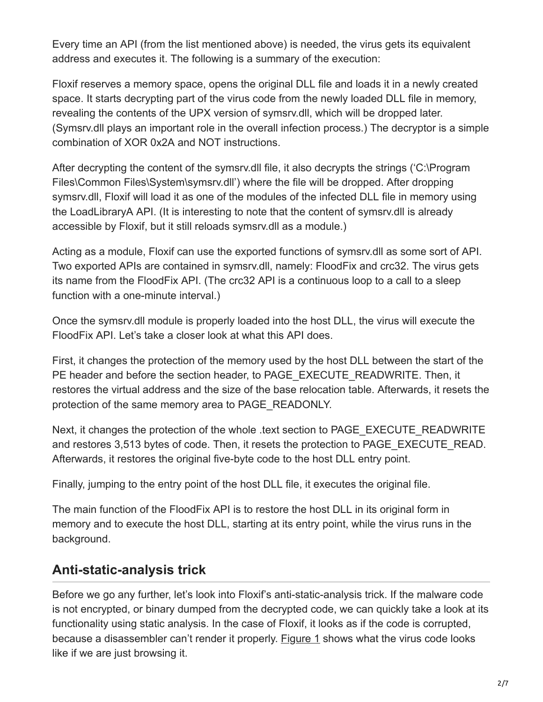Every time an API (from the list mentioned above) is needed, the virus gets its equivalent address and executes it. The following is a summary of the execution:

Floxif reserves a memory space, opens the original DLL file and loads it in a newly created space. It starts decrypting part of the virus code from the newly loaded DLL file in memory, revealing the contents of the UPX version of symsrv.dll, which will be dropped later. (Symsrv.dll plays an important role in the overall infection process.) The decryptor is a simple combination of XOR 0x2A and NOT instructions.

After decrypting the content of the symsrv.dll file, it also decrypts the strings ('C:\Program Files\Common Files\System\symsrv.dll') where the file will be dropped. After dropping symsrv.dll, Floxif will load it as one of the modules of the infected DLL file in memory using the LoadLibraryA API. (It is interesting to note that the content of symsrv.dll is already accessible by Floxif, but it still reloads symsrv.dll as a module.)

Acting as a module, Floxif can use the exported functions of symsrv.dll as some sort of API. Two exported APIs are contained in symsrv.dll, namely: FloodFix and crc32. The virus gets its name from the FloodFix API. (The crc32 API is a continuous loop to a call to a sleep function with a one-minute interval.)

Once the symsrv.dll module is properly loaded into the host DLL, the virus will execute the FloodFix API. Let's take a closer look at what this API does.

First, it changes the protection of the memory used by the host DLL between the start of the PE header and before the section header, to PAGE\_EXECUTE\_READWRITE. Then, it restores the virtual address and the size of the base relocation table. Afterwards, it resets the protection of the same memory area to PAGE\_READONLY.

Next, it changes the protection of the whole .text section to PAGE\_EXECUTE\_READWRITE and restores 3,513 bytes of code. Then, it resets the protection to PAGE\_EXECUTE\_READ. Afterwards, it restores the original five-byte code to the host DLL entry point.

Finally, jumping to the entry point of the host DLL file, it executes the original file.

The main function of the FloodFix API is to restore the host DLL in its original form in memory and to execute the host DLL, starting at its entry point, while the virus runs in the background.

# **Anti-static-analysis trick**

Before we go any further, let's look into Floxif's anti-static-analysis trick. If the malware code is not encrypted, or binary dumped from the decrypted code, we can quickly take a look at its functionality using static analysis. In the case of Floxif, it looks as if the code is corrupted, because a disassembler can't render it properly. Figure 1 shows what the virus code looks like if we are just browsing it.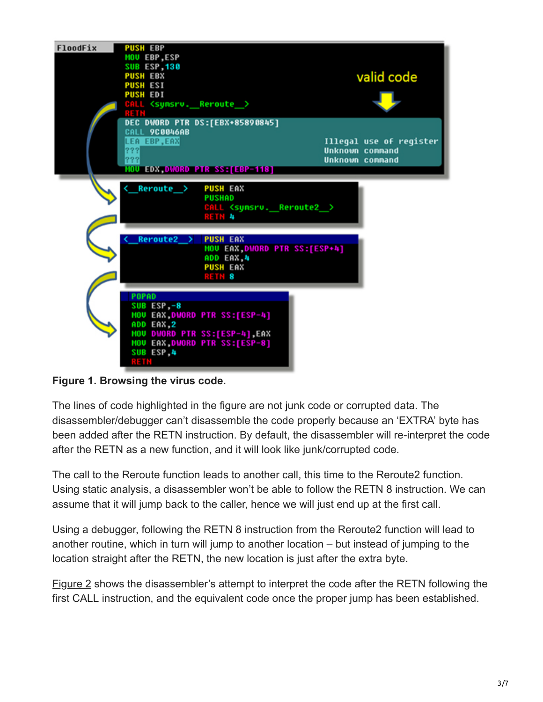

**Figure 1. Browsing the virus code.**

The lines of code highlighted in the figure are not junk code or corrupted data. The disassembler/debugger can't disassemble the code properly because an 'EXTRA' byte has been added after the RETN instruction. By default, the disassembler will re-interpret the code after the RETN as a new function, and it will look like junk/corrupted code.

The call to the Reroute function leads to another call, this time to the Reroute2 function. Using static analysis, a disassembler won't be able to follow the RETN 8 instruction. We can assume that it will jump back to the caller, hence we will just end up at the first call.

Using a debugger, following the RETN 8 instruction from the Reroute2 function will lead to another routine, which in turn will jump to another location – but instead of jumping to the location straight after the RETN, the new location is just after the extra byte.

Figure 2 shows the disassembler's attempt to interpret the code after the RETN following the first CALL instruction, and the equivalent code once the proper jump has been established.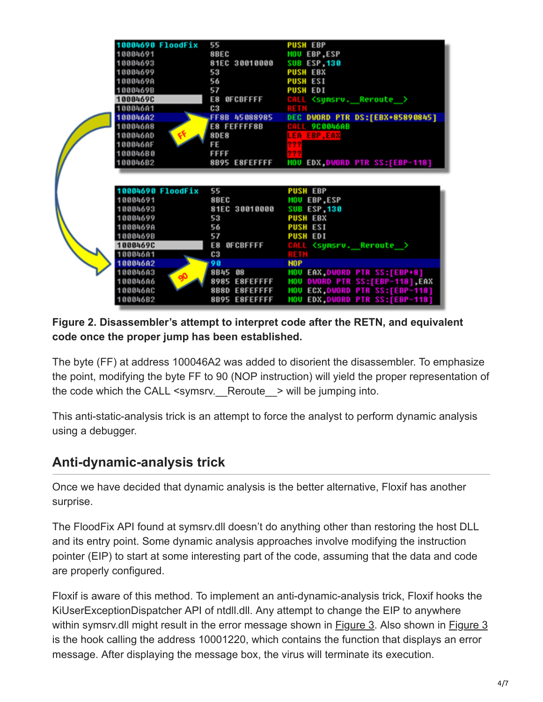| <b>10004690 FloodFix</b> | 55                             | <b>PUSH EBP</b>                                                      |
|--------------------------|--------------------------------|----------------------------------------------------------------------|
| 10004691                 | 8BEC                           | <b>MOU LBP,ESP</b>                                                   |
| 10004693                 | 81EC 30010000                  | <b>SUB ISP,130</b>                                                   |
| 10004699                 | 53                             | <b>PUSH EBX</b>                                                      |
| 1000469A                 | 56                             | <b>PUSH ESI</b>                                                      |
| 1000469B                 | 57                             | <b>PUSH EDI</b>                                                      |
| 1000469C                 | E8 OFCBFFFF                    | CALL <synsrv. reroute=""></synsrv.>                                  |
| 100046A1                 | C <sub>3</sub>                 |                                                                      |
| 100046A2                 | FF8B 45088985                  | DEC DWORD PTR DS:[EBX+85890845]                                      |
| 100046A8                 | E8 FEFFFF8B                    | CALL 9C0046AB                                                        |
| 100046AD                 | f(x)<br><b>8DE8</b>            | <b>LEA EBP, EAX</b>                                                  |
| 100046AF                 | FE                             |                                                                      |
| 100046B0                 | <b>FFFF</b>                    |                                                                      |
| 100046B2                 | 8B95 E8FEFFFF                  | <b>MOU EDX DWORD PTR SS:[EBP-118]</b>                                |
|                          |                                |                                                                      |
|                          |                                |                                                                      |
| <b>10004690 FloodFix</b> | 55                             | <b>PUSH EBP</b>                                                      |
| 10004691                 | 8BEC                           | <b>MOU LBP,ESP</b>                                                   |
| 10004693                 | 81EC 30010000                  | <b>SUB LSP,130</b>                                                   |
| 10004699                 | 53                             | <b>PUSH EBX</b>                                                      |
| 1000469A                 | 56                             | <b>PUSH ESI</b>                                                      |
| 1000469B                 | 57                             | <b>PUSH EDI</b>                                                      |
| 10004690                 | E8 OFCBFFFF                    | CALL <synsrv. reroute=""></synsrv.>                                  |
| 100046A1                 | C <sub>3</sub>                 | 8803                                                                 |
| 100046A2                 | 98                             | <b>NOP</b>                                                           |
| 100046A3                 | 8B45 08<br>90                  | <b>MOU EAX, DWORD PTR SS: [EBP+8]</b>                                |
| 100046A6                 |                                |                                                                      |
|                          | 8985 E8FEFFFF                  | MOU DWORD PTR SS:[EBP-118],EAX                                       |
| 100046AC<br>100046B2     | 8B8D E8FEFFFF<br>8B95 E8FEFFFF | MOU ECX, DUORD PTR SS: [EBP-118]<br>MOU EDX, DWORD PTR SS: [EBP-118] |

**Figure 2. Disassembler's attempt to interpret code after the RETN, and equivalent code once the proper jump has been established.**

The byte (FF) at address 100046A2 was added to disorient the disassembler. To emphasize the point, modifying the byte FF to 90 (NOP instruction) will yield the proper representation of the code which the CALL  $\leq$ symsrv. Reroute  $\geq$  will be jumping into.

This anti-static-analysis trick is an attempt to force the analyst to perform dynamic analysis using a debugger.

# **Anti-dynamic-analysis trick**

Once we have decided that dynamic analysis is the better alternative, Floxif has another surprise.

The FloodFix API found at symsrv.dll doesn't do anything other than restoring the host DLL and its entry point. Some dynamic analysis approaches involve modifying the instruction pointer (EIP) to start at some interesting part of the code, assuming that the data and code are properly configured.

Floxif is aware of this method. To implement an anti-dynamic-analysis trick, Floxif hooks the KiUserExceptionDispatcher API of ntdll.dll. Any attempt to change the EIP to anywhere within symsrv.dll might result in the error message shown in Figure 3. Also shown in Figure 3 is the hook calling the address 10001220, which contains the function that displays an error message. After displaying the message box, the virus will terminate its execution.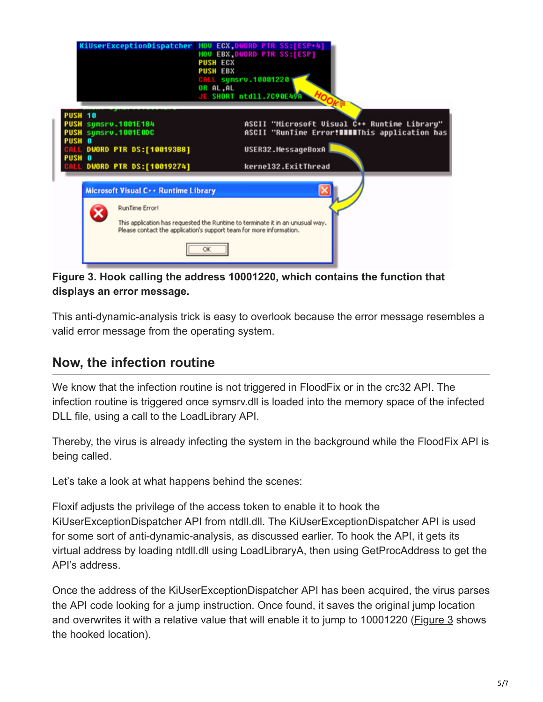

#### **Figure 3. Hook calling the address 10001220, which contains the function that displays an error message.**

This anti-dynamic-analysis trick is easy to overlook because the error message resembles a valid error message from the operating system.

### **Now, the infection routine**

We know that the infection routine is not triggered in FloodFix or in the crc32 API. The infection routine is triggered once symsrv.dll is loaded into the memory space of the infected DLL file, using a call to the LoadLibrary API.

Thereby, the virus is already infecting the system in the background while the FloodFix API is being called.

Let's take a look at what happens behind the scenes:

Floxif adjusts the privilege of the access token to enable it to hook the KiUserExceptionDispatcher API from ntdll.dll. The KiUserExceptionDispatcher API is used for some sort of anti-dynamic-analysis, as discussed earlier. To hook the API, it gets its virtual address by loading ntdll.dll using LoadLibraryA, then using GetProcAddress to get the API's address.

Once the address of the KiUserExceptionDispatcher API has been acquired, the virus parses the API code looking for a jump instruction. Once found, it saves the original jump location and overwrites it with a relative value that will enable it to jump to 10001220 (Figure 3 shows the hooked location).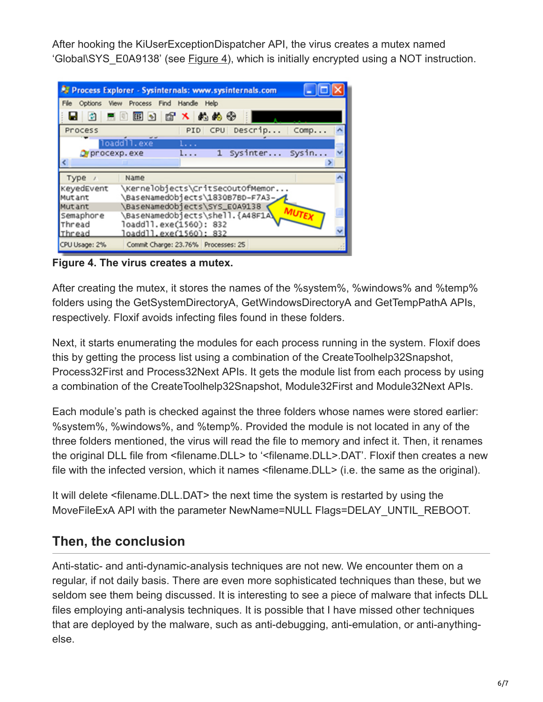After hooking the KiUserExceptionDispatcher API, the virus creates a mutex named 'Global\SYS\_E0A9138' (see Figure 4), which is initially encrypted using a NOT instruction.

|                      | Process Explorer - Sysinternals: www.sysinternals.com                |
|----------------------|----------------------------------------------------------------------|
|                      | File Options View Process Find Handle Help                           |
|                      |                                                                      |
| Process              | PID CPU Descrip Comp                                                 |
|                      | loaddll.exe<br>1.                                                    |
| Or procexp. exe      | 1 Sysinter Sysin<br>l                                                |
|                      |                                                                      |
| Type /               | Name                                                                 |
| KeyedEvent<br>Mutant | \KernelObjects\CritSecOutOfMemor<br>\BaseNamedObjects\1830B7BD-F7A3- |
| Mutant               | \BaseNamedObjects\SYS_E0A9138                                        |
| Semaphore            | \BaseNamedObjects\shell.{A48F1A\                                     |
| Thread               | loaddll.exe(1560): 832                                               |
| Thread               | loaddll.exe(1560): 832                                               |
| CPU Usage: 2%        | Commit Charge: 23.76% Processes: 25                                  |

**Figure 4. The virus creates a mutex.**

After creating the mutex, it stores the names of the %system%, %windows% and %temp% folders using the GetSystemDirectoryA, GetWindowsDirectoryA and GetTempPathA APIs, respectively. Floxif avoids infecting files found in these folders.

Next, it starts enumerating the modules for each process running in the system. Floxif does this by getting the process list using a combination of the CreateToolhelp32Snapshot, Process32First and Process32Next APIs. It gets the module list from each process by using a combination of the CreateToolhelp32Snapshot, Module32First and Module32Next APIs.

Each module's path is checked against the three folders whose names were stored earlier: %system%, %windows%, and %temp%. Provided the module is not located in any of the three folders mentioned, the virus will read the file to memory and infect it. Then, it renames the original DLL file from <filename.DLL> to '<filename.DLL>.DAT'. Floxif then creates a new file with the infected version, which it names <filename.DLL> (i.e. the same as the original).

It will delete <filename.DLL.DAT> the next time the system is restarted by using the MoveFileExA API with the parameter NewName=NULL Flags=DELAY\_UNTIL\_REBOOT.

# **Then, the conclusion**

Anti-static- and anti-dynamic-analysis techniques are not new. We encounter them on a regular, if not daily basis. There are even more sophisticated techniques than these, but we seldom see them being discussed. It is interesting to see a piece of malware that infects DLL files employing anti-analysis techniques. It is possible that I have missed other techniques that are deployed by the malware, such as anti-debugging, anti-emulation, or anti-anythingelse.